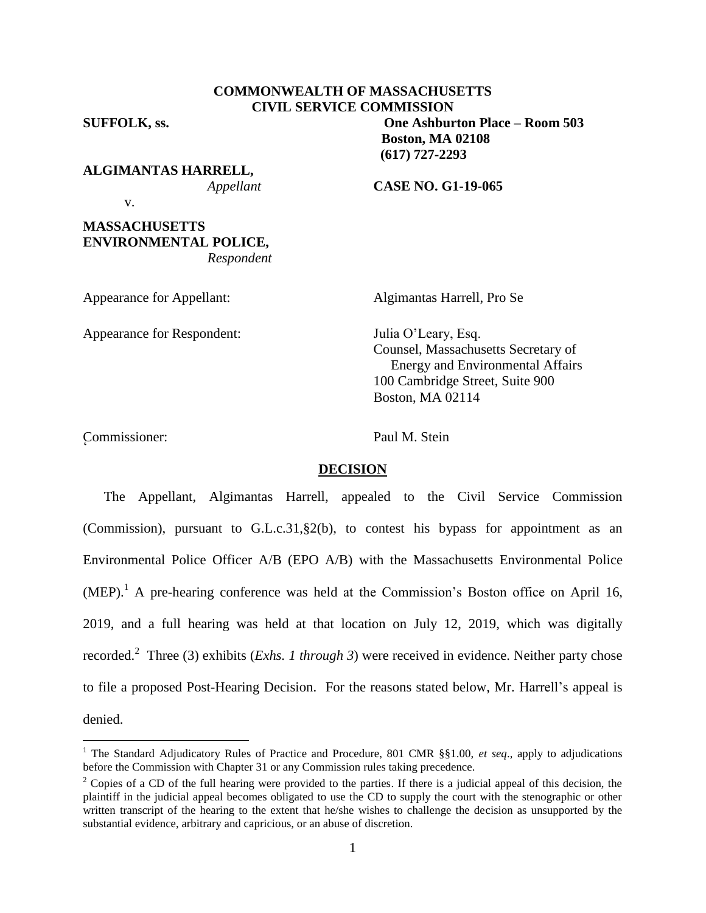# **COMMONWEALTH OF MASSACHUSETTS CIVIL SERVICE COMMISSION**

**SUFFOLK, ss. One Ashburton Place – Room 503 Boston, MA 02108 (617) 727-2293**

**ALGIMANTAS HARRELL,**

*Appellant* **CASE NO. G1-19-065**

v.

## **MASSACHUSETTS ENVIRONMENTAL POLICE,** *Respondent*

 $\overline{a}$ 

Appearance for Respondent: Julia O'Leary, Esq.

Algimantas Harrell, Pro Se

Counsel, Massachusetts Secretary of Energy and Environmental Affairs 100 Cambridge Street, Suite 900 Boston, MA 02114

Commissioner: Paul M. Stein <sup>2</sup>

 $\overline{a}$ 

## **DECISION**

The Appellant, Algimantas Harrell, appealed to the Civil Service Commission (Commission), pursuant to G.L.c.31,§2(b), to contest his bypass for appointment as an Environmental Police Officer A/B (EPO A/B) with the Massachusetts Environmental Police  $(MEP).<sup>1</sup>$  A pre-hearing conference was held at the Commission's Boston office on April 16, 2019, and a full hearing was held at that location on July 12, 2019, which was digitally recorded.<sup>2</sup> Three (3) exhibits (*Exhs. 1 through 3*) were received in evidence. Neither party chose to file a proposed Post-Hearing Decision. For the reasons stated below, Mr. Harrell's appeal is denied.

<sup>1</sup> The Standard Adjudicatory Rules of Practice and Procedure, 801 CMR §§1.00, *et seq*., apply to adjudications before the Commission with Chapter 31 or any Commission rules taking precedence.

<sup>&</sup>lt;sup>2</sup> Copies of a CD of the full hearing were provided to the parties. If there is a judicial appeal of this decision, the plaintiff in the judicial appeal becomes obligated to use the CD to supply the court with the stenographic or other written transcript of the hearing to the extent that he/she wishes to challenge the decision as unsupported by the substantial evidence, arbitrary and capricious, or an abuse of discretion.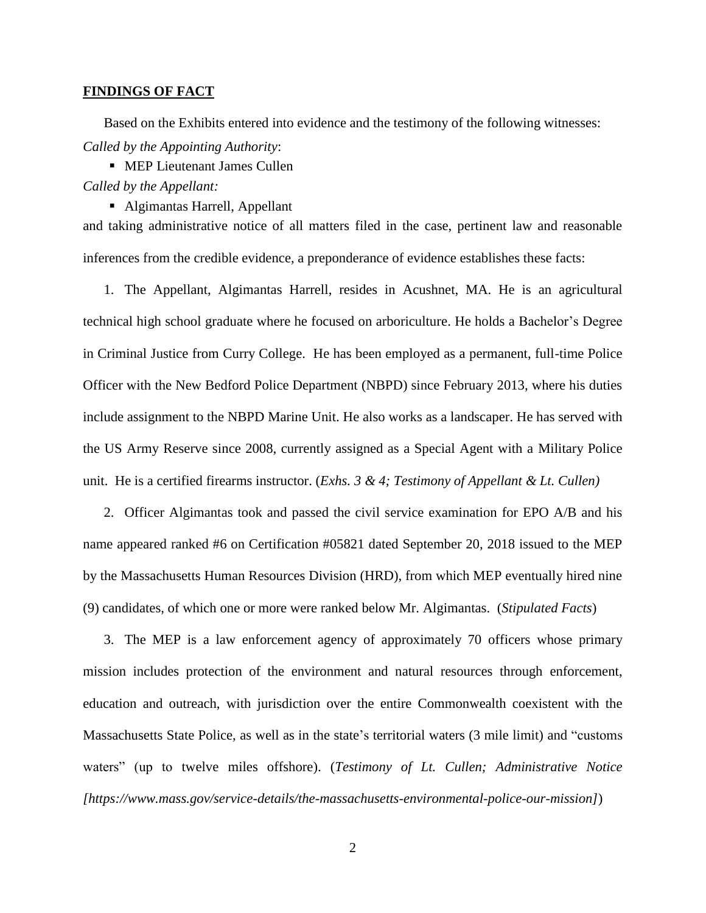#### **FINDINGS OF FACT**

Based on the Exhibits entered into evidence and the testimony of the following witnesses: *Called by the Appointing Authority*:

**MEP Lieutenant James Cullen** *Called by the Appellant:*

Algimantas Harrell, Appellant

and taking administrative notice of all matters filed in the case, pertinent law and reasonable inferences from the credible evidence, a preponderance of evidence establishes these facts:

1. The Appellant, Algimantas Harrell, resides in Acushnet, MA. He is an agricultural technical high school graduate where he focused on arboriculture. He holds a Bachelor's Degree in Criminal Justice from Curry College. He has been employed as a permanent, full-time Police Officer with the New Bedford Police Department (NBPD) since February 2013, where his duties include assignment to the NBPD Marine Unit. He also works as a landscaper. He has served with the US Army Reserve since 2008, currently assigned as a Special Agent with a Military Police unit. He is a certified firearms instructor. (*Exhs. 3 & 4; Testimony of Appellant & Lt. Cullen)*

2. Officer Algimantas took and passed the civil service examination for EPO A/B and his name appeared ranked #6 on Certification #05821 dated September 20, 2018 issued to the MEP by the Massachusetts Human Resources Division (HRD), from which MEP eventually hired nine (9) candidates, of which one or more were ranked below Mr. Algimantas. (*Stipulated Facts*)

3. The MEP is a law enforcement agency of approximately 70 officers whose primary mission includes protection of the environment and natural resources through enforcement, education and outreach, with jurisdiction over the entire Commonwealth coexistent with the Massachusetts State Police, as well as in the state's territorial waters (3 mile limit) and "customs waters" (up to twelve miles offshore). (*Testimony of Lt. Cullen; Administrative Notice [https://www.mass.gov/service-details/the-massachusetts-environmental-police-our-mission]*)

2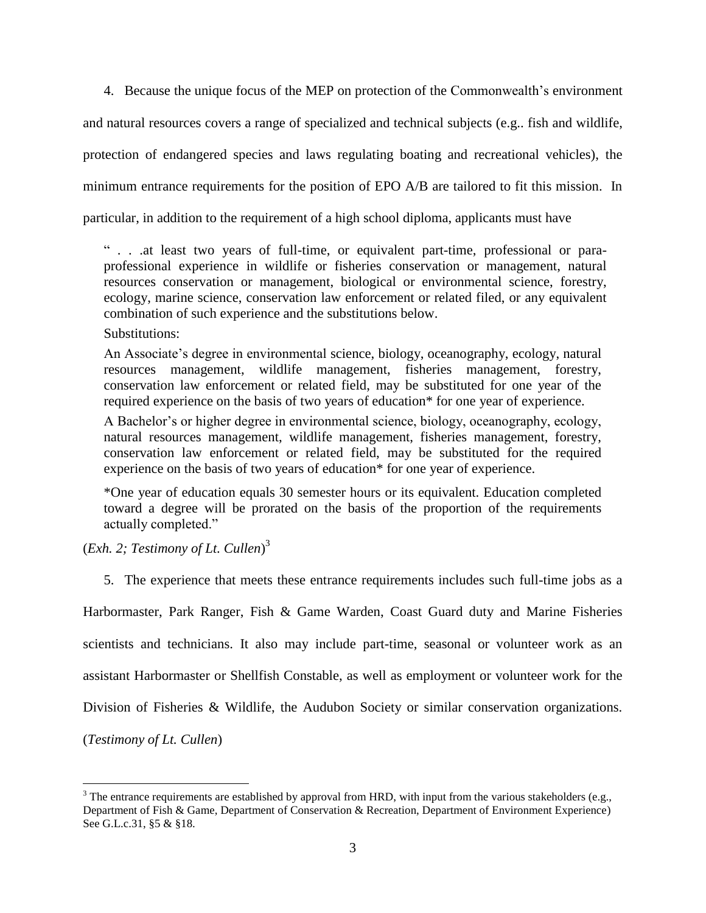4. Because the unique focus of the MEP on protection of the Commonwealth's environment and natural resources covers a range of specialized and technical subjects (e.g.. fish and wildlife, protection of endangered species and laws regulating boating and recreational vehicles), the minimum entrance requirements for the position of EPO A/B are tailored to fit this mission. In particular, in addition to the requirement of a high school diploma, applicants must have

" . . .at least two years of full-time, or equivalent part-time, professional or paraprofessional experience in wildlife or fisheries conservation or management, natural resources conservation or management, biological or environmental science, forestry, ecology, marine science, conservation law enforcement or related filed, or any equivalent combination of such experience and the substitutions below.

Substitutions:

An Associate's degree in environmental science, biology, oceanography, ecology, natural resources management, wildlife management, fisheries management, forestry, conservation law enforcement or related field, may be substituted for one year of the required experience on the basis of two years of education\* for one year of experience.

A Bachelor's or higher degree in environmental science, biology, oceanography, ecology, natural resources management, wildlife management, fisheries management, forestry, conservation law enforcement or related field, may be substituted for the required experience on the basis of two years of education\* for one year of experience.

\*One year of education equals 30 semester hours or its equivalent. Education completed toward a degree will be prorated on the basis of the proportion of the requirements actually completed."

(*Exh. 2; Testimony of Lt. Cullen*) 3

 $\overline{a}$ 

5. The experience that meets these entrance requirements includes such full-time jobs as a

Harbormaster, Park Ranger, Fish & Game Warden, Coast Guard duty and Marine Fisheries scientists and technicians. It also may include part-time, seasonal or volunteer work as an assistant Harbormaster or Shellfish Constable, as well as employment or volunteer work for the Division of Fisheries & Wildlife, the Audubon Society or similar conservation organizations. (*Testimony of Lt. Cullen*)

 $3$  The entrance requirements are established by approval from HRD, with input from the various stakeholders (e.g., Department of Fish & Game, Department of Conservation & Recreation, Department of Environment Experience) See G.L.c.31, §5 & §18.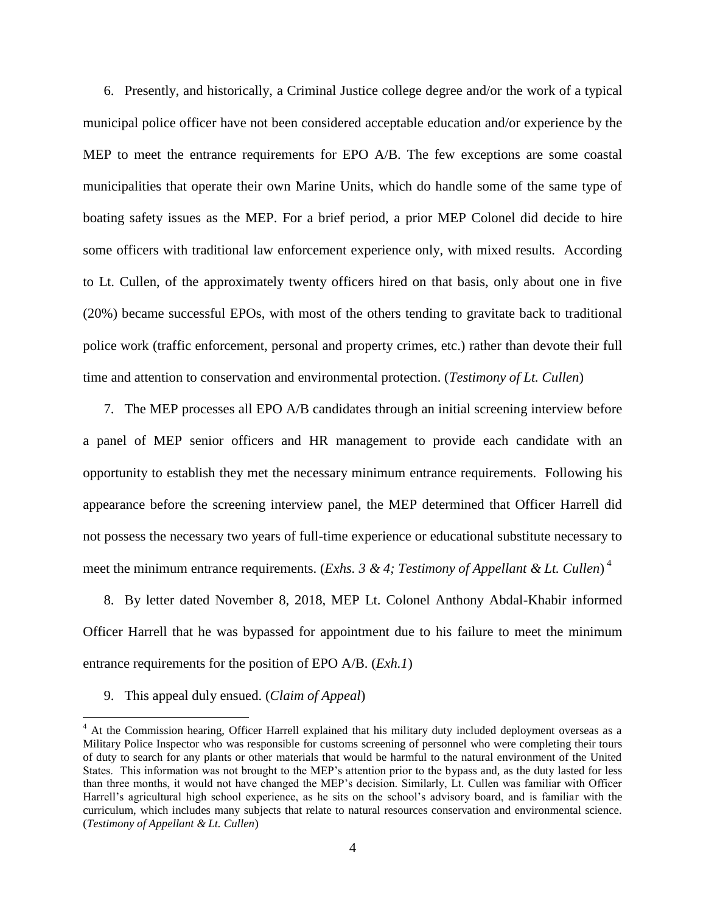6. Presently, and historically, a Criminal Justice college degree and/or the work of a typical municipal police officer have not been considered acceptable education and/or experience by the MEP to meet the entrance requirements for EPO A/B. The few exceptions are some coastal municipalities that operate their own Marine Units, which do handle some of the same type of boating safety issues as the MEP. For a brief period, a prior MEP Colonel did decide to hire some officers with traditional law enforcement experience only, with mixed results. According to Lt. Cullen, of the approximately twenty officers hired on that basis, only about one in five (20%) became successful EPOs, with most of the others tending to gravitate back to traditional police work (traffic enforcement, personal and property crimes, etc.) rather than devote their full time and attention to conservation and environmental protection. (*Testimony of Lt. Cullen*)

7. The MEP processes all EPO A/B candidates through an initial screening interview before a panel of MEP senior officers and HR management to provide each candidate with an opportunity to establish they met the necessary minimum entrance requirements. Following his appearance before the screening interview panel, the MEP determined that Officer Harrell did not possess the necessary two years of full-time experience or educational substitute necessary to meet the minimum entrance requirements. (*Exhs. 3 & 4; Testimony of Appellant & Lt. Cullen*) 4

8. By letter dated November 8, 2018, MEP Lt. Colonel Anthony Abdal-Khabir informed Officer Harrell that he was bypassed for appointment due to his failure to meet the minimum entrance requirements for the position of EPO A/B. (*Exh.1*)

9. This appeal duly ensued. (*Claim of Appeal*)

 $\overline{a}$ 

<sup>&</sup>lt;sup>4</sup> At the Commission hearing, Officer Harrell explained that his military duty included deployment overseas as a Military Police Inspector who was responsible for customs screening of personnel who were completing their tours of duty to search for any plants or other materials that would be harmful to the natural environment of the United States. This information was not brought to the MEP's attention prior to the bypass and, as the duty lasted for less than three months, it would not have changed the MEP's decision. Similarly, Lt. Cullen was familiar with Officer Harrell's agricultural high school experience, as he sits on the school's advisory board, and is familiar with the curriculum, which includes many subjects that relate to natural resources conservation and environmental science. (*Testimony of Appellant & Lt. Cullen*)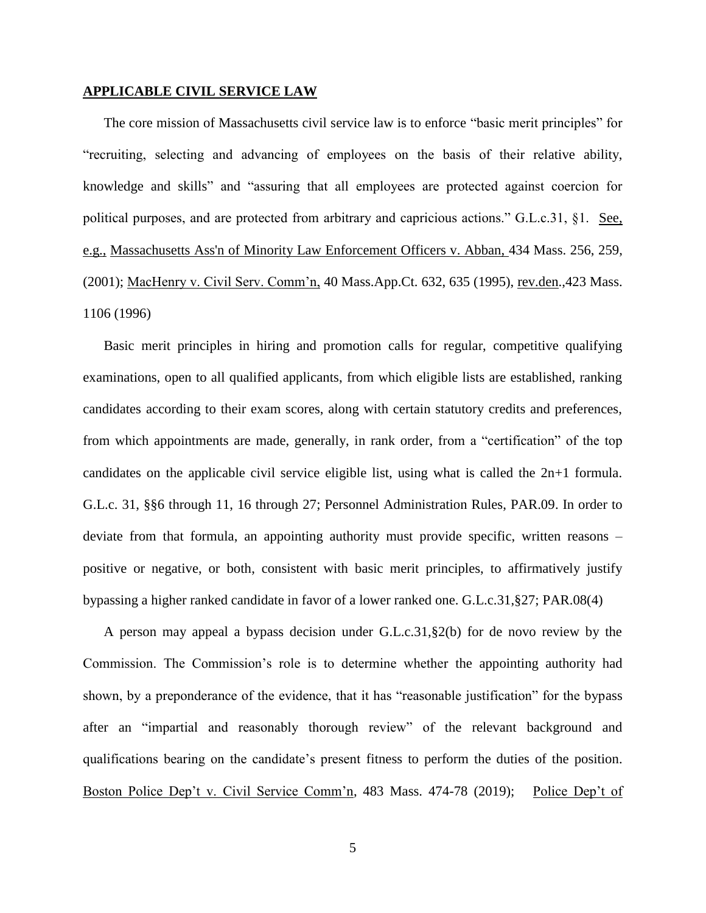#### **APPLICABLE CIVIL SERVICE LAW**

The core mission of Massachusetts civil service law is to enforce "basic merit principles" for "recruiting, selecting and advancing of employees on the basis of their relative ability, knowledge and skills" and "assuring that all employees are protected against coercion for political purposes, and are protected from arbitrary and capricious actions." G.L.c.31, §1. See, e.g., [Massachusetts Ass'n of Minority Law Enforcement Officers v. Abban,](http://web2.westlaw.com/find/default.wl?mt=Massachusetts&db=578&rs=WLW15.04&tc=-1&rp=%2ffind%2fdefault.wl&findtype=Y&ordoc=2029136022&serialnum=2001441097&vr=2.0&fn=_top&sv=Split&tf=-1&pbc=70F732C1&utid=1) 434 Mass. 256, 259, [\(2001\);](http://web2.westlaw.com/find/default.wl?mt=Massachusetts&db=578&rs=WLW15.04&tc=-1&rp=%2ffind%2fdefault.wl&findtype=Y&ordoc=2029136022&serialnum=2001441097&vr=2.0&fn=_top&sv=Split&tf=-1&pbc=70F732C1&utid=1) MacHenry v. Civil Serv. Comm'n, 40 Mass.App.Ct. 632, 635 (1995), rev.den.,423 Mass. 1106 (1996)

Basic merit principles in hiring and promotion calls for regular, competitive qualifying examinations, open to all qualified applicants, from which eligible lists are established, ranking candidates according to their exam scores, along with certain statutory credits and preferences, from which appointments are made, generally, in rank order, from a "certification" of the top candidates on the applicable civil service eligible list, using what is called the 2n+1 formula. G.L.c. 31, §§6 through 11, 16 through 27; Personnel Administration Rules, PAR.09. In order to deviate from that formula, an appointing authority must provide specific, written reasons – positive or negative, or both, consistent with basic merit principles, to affirmatively justify bypassing a higher ranked candidate in favor of a lower ranked one. G.L.c.31,§27; PAR.08(4)

A person may appeal a bypass decision under G.L.c.31,§2(b) for de novo review by the Commission. The Commission's role is to determine whether the appointing authority had shown, by a preponderance of the evidence, that it has "reasonable justification" for the bypass after an "impartial and reasonably thorough review" of the relevant background and qualifications bearing on the candidate's present fitness to perform the duties of the position. Boston Police Dep't v. Civil Service Comm'n, 483 Mass. 474-78 (2019); Police Dep't of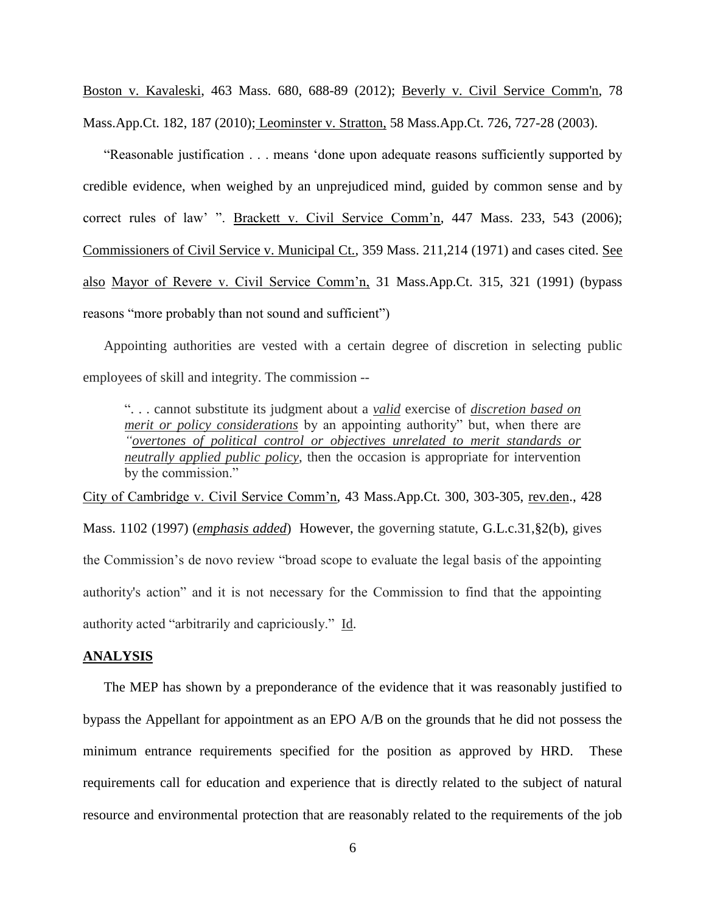Boston v. Kavaleski, 463 Mass. 680, 688-89 (2012); [Beverly v. Civil Service Comm'n, 78](http://web2.westlaw.com/find/default.wl?mt=Massachusetts&db=578&rs=WLW15.04&tc=-1&rp=%2ffind%2fdefault.wl&findtype=Y&ordoc=2029136022&serialnum=2023501172&vr=2.0&fn=_top&sv=Split&tf=-1&pbc=70F732C1&utid=1)  [Mass.App.Ct. 182, 187 \(2010\);](http://web2.westlaw.com/find/default.wl?mt=Massachusetts&db=578&rs=WLW15.04&tc=-1&rp=%2ffind%2fdefault.wl&findtype=Y&ordoc=2029136022&serialnum=2023501172&vr=2.0&fn=_top&sv=Split&tf=-1&pbc=70F732C1&utid=1) Leominster v. Stratton, 58 Mass.App.Ct. 726, 727-28 (2003).

"Reasonable justification . . . means 'done upon adequate reasons sufficiently supported by credible evidence, when weighed by an unprejudiced mind, guided by common sense and by correct rules of law' ". Brackett v. Civil Service Comm'n, 447 Mass. 233, 543 (2006); Commissioners of Civil Service v. Municipal Ct., 359 Mass. 211,214 (1971) and cases cited. See also Mayor of Revere v. Civil Service Comm'n, 31 Mass.App.Ct. 315, 321 (1991) (bypass reasons "more probably than not sound and sufficient")

Appointing authorities are vested with a certain degree of discretion in selecting public employees of skill and integrity. The commission --

". . . cannot substitute its judgment about a *valid* exercise of *discretion based on merit or policy considerations* by an appointing authority" but, when there are *"overtones of political control or objectives unrelated to merit standards or neutrally applied public policy*, then the occasion is appropriate for intervention by the commission."

City of Cambridge v. Civil Service Comm'n, 43 Mass.App.Ct. 300, 303-305, rev.den., 428 Mass. 1102 (1997) (*emphasis added*) However, the governing statute, [G.L.c.31,§2\(b\),](https://1.next.westlaw.com/Link/Document/FullText?findType=L&pubNum=1000042&cite=MAST31S2&originatingDoc=Ib21af0ded3bd11d99439b076ef9ec4de&refType=LQ&originationContext=document&transitionType=DocumentItem&contextData=(sc.History*oc.UserEnteredCitation)) gives the Commission's de novo review "broad scope to evaluate the legal basis of the appointing authority's action" and it is not necessary for the Commission to find that the appointing authority acted "arbitrarily and capriciously." Id.

## **ANALYSIS**

The MEP has shown by a preponderance of the evidence that it was reasonably justified to bypass the Appellant for appointment as an EPO A/B on the grounds that he did not possess the minimum entrance requirements specified for the position as approved by HRD. These requirements call for education and experience that is directly related to the subject of natural resource and environmental protection that are reasonably related to the requirements of the job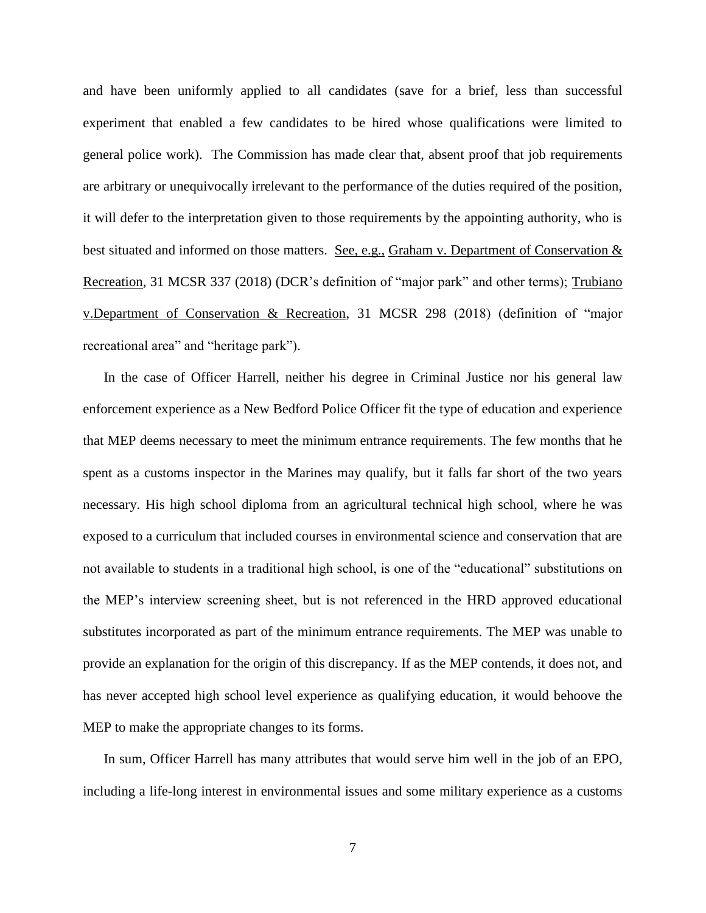and have been uniformly applied to all candidates (save for a brief, less than successful experiment that enabled a few candidates to be hired whose qualifications were limited to general police work). The Commission has made clear that, absent proof that job requirements are arbitrary or unequivocally irrelevant to the performance of the duties required of the position, it will defer to the interpretation given to those requirements by the appointing authority, who is best situated and informed on those matters. See, e.g., Graham v. Department of Conservation & Recreation, 31 MCSR 337 (2018) (DCR's definition of "major park" and other terms); Trubiano v.Department of Conservation & Recreation, 31 MCSR 298 (2018) (definition of "major recreational area" and "heritage park").

In the case of Officer Harrell, neither his degree in Criminal Justice nor his general law enforcement experience as a New Bedford Police Officer fit the type of education and experience that MEP deems necessary to meet the minimum entrance requirements. The few months that he spent as a customs inspector in the Marines may qualify, but it falls far short of the two years necessary. His high school diploma from an agricultural technical high school, where he was exposed to a curriculum that included courses in environmental science and conservation that are not available to students in a traditional high school, is one of the "educational" substitutions on the MEP's interview screening sheet, but is not referenced in the HRD approved educational substitutes incorporated as part of the minimum entrance requirements. The MEP was unable to provide an explanation for the origin of this discrepancy. If as the MEP contends, it does not, and has never accepted high school level experience as qualifying education, it would behoove the MEP to make the appropriate changes to its forms.

In sum, Officer Harrell has many attributes that would serve him well in the job of an EPO, including a life-long interest in environmental issues and some military experience as a customs